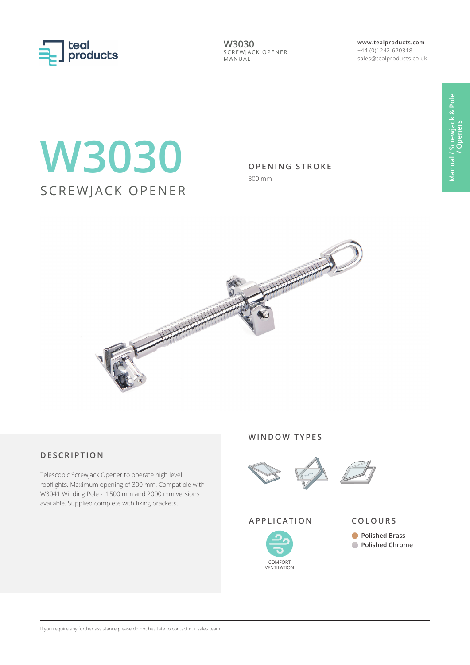

**W3030** SCREWJACK OPENER MANUAL

**www.tealproducts.com** +44 (0)1242 620318 sales@tealproducts.co.uk

# **W3030** SCREWJACK OPENER

### **OPENING STROKE**

300 mm



# **DESCRIPTION**

Telescopic Screwjack Opener to operate high level rooflights. Maximum opening of 300 mm. Compatible with W3041 Winding Pole - 1500 mm and 2000 mm versions available. Supplied complete with fixing brackets.

#### **WINDOW TYPES**





**Polished Brass Polished Chrome**